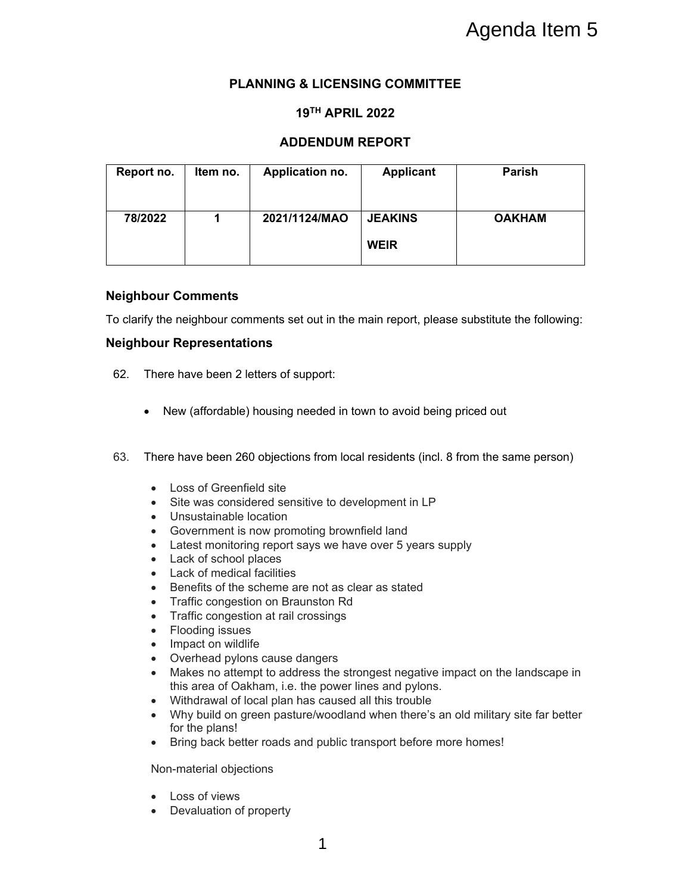# **PLANNING & LICENSING COMMITTEE**

### **19TH APRIL 2022**

## **ADDENDUM REPORT**

| Report no. | Item no. | Application no. | <b>Applicant</b>              | Parish        |
|------------|----------|-----------------|-------------------------------|---------------|
| 78/2022    |          | 2021/1124/MAO   | <b>JEAKINS</b><br><b>WEIR</b> | <b>OAKHAM</b> |

#### **Neighbour Comments**

To clarify the neighbour comments set out in the main report, please substitute the following:

### **Neighbour Representations**

- 62. There have been 2 letters of support:
	- New (affordable) housing needed in town to avoid being priced out
- 63. There have been 260 objections from local residents (incl. 8 from the same person)
	- Loss of Greenfield site
	- Site was considered sensitive to development in LP
	- Unsustainable location
	- Government is now promoting brownfield land
	- Latest monitoring report says we have over 5 years supply
	- Lack of school places
	- Lack of medical facilities
	- Benefits of the scheme are not as clear as stated
	- Traffic congestion on Braunston Rd
	- Traffic congestion at rail crossings
	- Flooding issues
	- Impact on wildlife
	- Overhead pylons cause dangers
	- Makes no attempt to address the strongest negative impact on the landscape in this area of Oakham, i.e. the power lines and pylons.
	- Withdrawal of local plan has caused all this trouble
	- Why build on green pasture/woodland when there's an old military site far better for the plans!
	- Bring back better roads and public transport before more homes!

Non-material objections

- Loss of views
- Devaluation of property